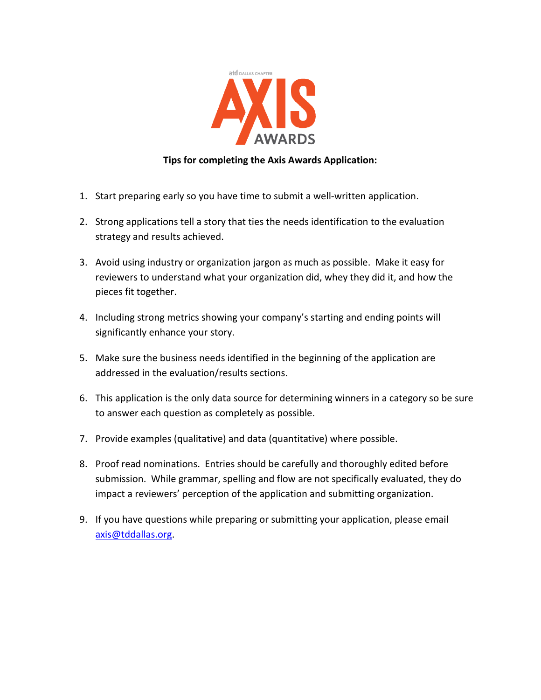

## **Tips for completing the Axis Awards Application:**

- 1. Start preparing early so you have time to submit a well-written application.
- 2. Strong applications tell a story that ties the needs identification to the evaluation strategy and results achieved.
- 3. Avoid using industry or organization jargon as much as possible. Make it easy for reviewers to understand what your organization did, whey they did it, and how the pieces fit together.
- 4. Including strong metrics showing your company's starting and ending points will significantly enhance your story.
- 5. Make sure the business needs identified in the beginning of the application are addressed in the evaluation/results sections.
- 6. This application is the only data source for determining winners in a category so be sure to answer each question as completely as possible.
- 7. Provide examples (qualitative) and data (quantitative) where possible.
- 8. Proof read nominations. Entries should be carefully and thoroughly edited before submission. While grammar, spelling and flow are not specifically evaluated, they do impact a reviewers' perception of the application and submitting organization.
- 9. If you have questions while preparing or submitting your application, please email [axis@tddallas.org.](mailto:axis@tddallas.org)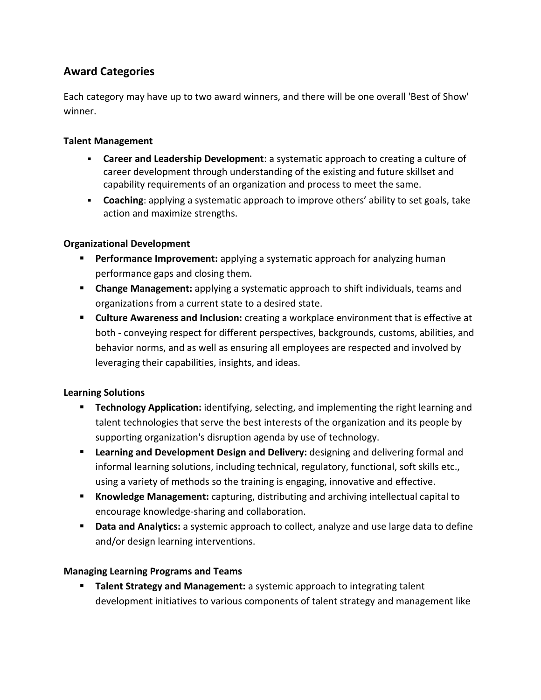# **Award Categories**

Each category may have up to two award winners, and there will be one overall 'Best of Show' winner.

#### **Talent Management**

- **Career and Leadership Development**: a systematic approach to creating a culture of career development through understanding of the existing and future skillset and capability requirements of an organization and process to meet the same.
- **Coaching**: applying a systematic approach to improve others' ability to set goals, take action and maximize strengths.

## **Organizational Development**

- **Performance Improvement:** applying a systematic approach for analyzing human performance gaps and closing them.
- **Change Management:** applying a systematic approach to shift individuals, teams and organizations from a current state to a desired state.
- **Culture Awareness and Inclusion:** creating a workplace environment that is effective at both - conveying respect for different perspectives, backgrounds, customs, abilities, and behavior norms, and as well as ensuring all employees are respected and involved by leveraging their capabilities, insights, and ideas.

#### **Learning Solutions**

- **Technology Application:** identifying, selecting, and implementing the right learning and talent technologies that serve the best interests of the organization and its people by supporting organization's disruption agenda by use of technology.
- **Learning and Development Design and Delivery:** designing and delivering formal and informal learning solutions, including technical, regulatory, functional, soft skills etc., using a variety of methods so the training is engaging, innovative and effective.
- **Knowledge Management:** capturing, distributing and archiving intellectual capital to encourage knowledge-sharing and collaboration.
- **Data and Analytics:** a systemic approach to collect, analyze and use large data to define and/or design learning interventions.

## **Managing Learning Programs and Teams**

 **Talent Strategy and Management:** a systemic approach to integrating talent development initiatives to various components of talent strategy and management like